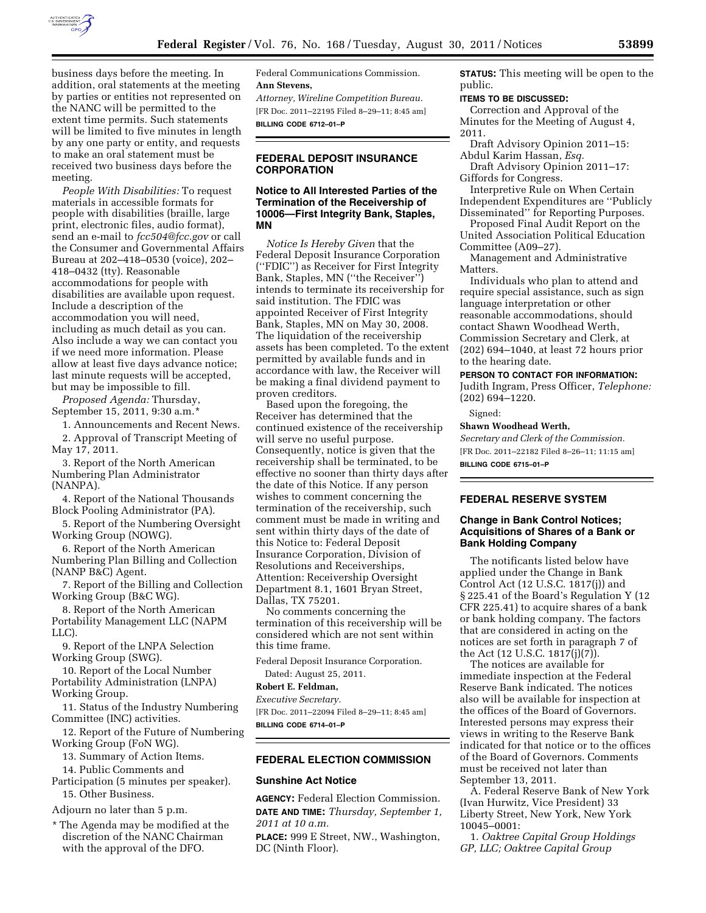

business days before the meeting. In addition, oral statements at the meeting by parties or entities not represented on the NANC will be permitted to the extent time permits. Such statements will be limited to five minutes in length by any one party or entity, and requests to make an oral statement must be received two business days before the meeting.

*People With Disabilities:* To request materials in accessible formats for people with disabilities (braille, large print, electronic files, audio format), send an e-mail to *[fcc504@fcc.gov](mailto:fcc504@fcc.gov)* or call the Consumer and Governmental Affairs Bureau at 202–418–0530 (voice), 202– 418–0432 (tty). Reasonable accommodations for people with disabilities are available upon request. Include a description of the accommodation you will need, including as much detail as you can. Also include a way we can contact you if we need more information. Please allow at least five days advance notice; last minute requests will be accepted, but may be impossible to fill.

*Proposed Agenda:* Thursday, September 15, 2011, 9:30 a.m.\*

1. Announcements and Recent News.

2. Approval of Transcript Meeting of May 17, 2011.

3. Report of the North American Numbering Plan Administrator (NANPA).

4. Report of the National Thousands Block Pooling Administrator (PA).

5. Report of the Numbering Oversight Working Group (NOWG).

6. Report of the North American Numbering Plan Billing and Collection (NANP B&C) Agent.

7. Report of the Billing and Collection Working Group (B&C WG).

8. Report of the North American Portability Management LLC (NAPM LLC).

9. Report of the LNPA Selection Working Group (SWG).

10. Report of the Local Number Portability Administration (LNPA) Working Group.

11. Status of the Industry Numbering Committee (INC) activities.

12. Report of the Future of Numbering Working Group (FoN WG).

13. Summary of Action Items.

14. Public Comments and

Participation (5 minutes per speaker). 15. Other Business.

Adjourn no later than 5 p.m.

\* The Agenda may be modified at the discretion of the NANC Chairman with the approval of the DFO.

Federal Communications Commission. **Ann Stevens,** 

*Attorney, Wireline Competition Bureau.*  [FR Doc. 2011–22195 Filed 8–29–11; 8:45 am] **BILLING CODE 6712–01–P** 

## **FEDERAL DEPOSIT INSURANCE CORPORATION**

### **Notice to All Interested Parties of the Termination of the Receivership of 10006—First Integrity Bank, Staples, MN**

*Notice Is Hereby Given* that the Federal Deposit Insurance Corporation (''FDIC'') as Receiver for First Integrity Bank, Staples, MN (''the Receiver'') intends to terminate its receivership for said institution. The FDIC was appointed Receiver of First Integrity Bank, Staples, MN on May 30, 2008. The liquidation of the receivership assets has been completed. To the extent permitted by available funds and in accordance with law, the Receiver will be making a final dividend payment to proven creditors.

Based upon the foregoing, the Receiver has determined that the continued existence of the receivership will serve no useful purpose. Consequently, notice is given that the receivership shall be terminated, to be effective no sooner than thirty days after the date of this Notice. If any person wishes to comment concerning the termination of the receivership, such comment must be made in writing and sent within thirty days of the date of this Notice to: Federal Deposit Insurance Corporation, Division of Resolutions and Receiverships, Attention: Receivership Oversight Department 8.1, 1601 Bryan Street, Dallas, TX 75201.

No comments concerning the termination of this receivership will be considered which are not sent within this time frame.

Federal Deposit Insurance Corporation. Dated: August 25, 2011.

### **Robert E. Feldman,**

*Executive Secretary.* 

[FR Doc. 2011–22094 Filed 8–29–11; 8:45 am] **BILLING CODE 6714–01–P** 

#### **FEDERAL ELECTION COMMISSION**

### **Sunshine Act Notice**

**AGENCY:** Federal Election Commission. **DATE AND TIME:** *Thursday, September 1, 2011 at 10 a.m.* 

**PLACE:** 999 E Street, NW., Washington, DC (Ninth Floor).

**STATUS:** This meeting will be open to the public.

# **ITEMS TO BE DISCUSSED:**

Correction and Approval of the Minutes for the Meeting of August 4, 2011.

Draft Advisory Opinion 2011–15: Abdul Karim Hassan, *Esq.* 

Draft Advisory Opinion 2011–17: Giffords for Congress.

Interpretive Rule on When Certain Independent Expenditures are ''Publicly Disseminated'' for Reporting Purposes.

Proposed Final Audit Report on the United Association Political Education Committee (A09–27).

Management and Administrative Matters.

Individuals who plan to attend and require special assistance, such as sign language interpretation or other reasonable accommodations, should contact Shawn Woodhead Werth, Commission Secretary and Clerk, at (202) 694–1040, at least 72 hours prior to the hearing date.

**PERSON TO CONTACT FOR INFORMATION:** 

Judith Ingram, Press Officer, *Telephone:*  (202) 694–1220.

Signed:

### **Shawn Woodhead Werth,**

*Secretary and Clerk of the Commission.*  [FR Doc. 2011–22182 Filed 8–26–11; 11:15 am] **BILLING CODE 6715–01–P** 

# **FEDERAL RESERVE SYSTEM**

#### **Change in Bank Control Notices; Acquisitions of Shares of a Bank or Bank Holding Company**

The notificants listed below have applied under the Change in Bank Control Act (12 U.S.C. 1817(j)) and § 225.41 of the Board's Regulation Y (12 CFR 225.41) to acquire shares of a bank or bank holding company. The factors that are considered in acting on the notices are set forth in paragraph 7 of the Act (12 U.S.C. 1817(j)(7)).

The notices are available for immediate inspection at the Federal Reserve Bank indicated. The notices also will be available for inspection at the offices of the Board of Governors. Interested persons may express their views in writing to the Reserve Bank indicated for that notice or to the offices of the Board of Governors. Comments must be received not later than September 13, 2011.

A. Federal Reserve Bank of New York (Ivan Hurwitz, Vice President) 33 Liberty Street, New York, New York 10045–0001:

1. *Oaktree Capital Group Holdings GP, LLC; Oaktree Capital Group*